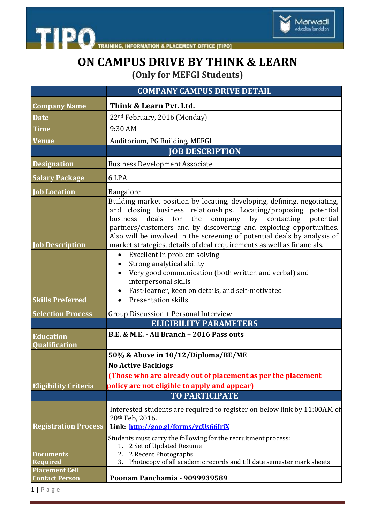

THE PO TRAINING, INFORMATION & PLACEMENT OFFICE [TIPO]

## **ON CAMPUS DRIVE BY THINK & LEARN (Only for MEFGI Students)**

|                                                | <b>COMPANY CAMPUS DRIVE DETAIL</b>                                                                                                                                                                                                                                                                                                                                                                                                       |
|------------------------------------------------|------------------------------------------------------------------------------------------------------------------------------------------------------------------------------------------------------------------------------------------------------------------------------------------------------------------------------------------------------------------------------------------------------------------------------------------|
| <b>Company Name</b>                            | Think & Learn Pvt. Ltd.                                                                                                                                                                                                                                                                                                                                                                                                                  |
| <b>Date</b>                                    | 22 <sup>nd</sup> February, 2016 (Monday)                                                                                                                                                                                                                                                                                                                                                                                                 |
| <b>Time</b>                                    | 9:30 AM                                                                                                                                                                                                                                                                                                                                                                                                                                  |
| <b>Venue</b>                                   | Auditorium, PG Building, MEFGI                                                                                                                                                                                                                                                                                                                                                                                                           |
|                                                | <b>JOB DESCRIPTION</b>                                                                                                                                                                                                                                                                                                                                                                                                                   |
| <b>Designation</b>                             | <b>Business Development Associate</b>                                                                                                                                                                                                                                                                                                                                                                                                    |
| <b>Salary Package</b>                          | 6 LPA                                                                                                                                                                                                                                                                                                                                                                                                                                    |
| <b>Job Location</b>                            | Bangalore                                                                                                                                                                                                                                                                                                                                                                                                                                |
| <b>Job Description</b>                         | Building market position by locating, developing, defining, negotiating,<br>and closing business relationships. Locating/proposing potential<br>deals for the<br>company by contacting potential<br>business<br>partners/customers and by discovering and exploring opportunities.<br>Also will be involved in the screening of potential deals by analysis of<br>market strategies, details of deal requirements as well as financials. |
| <b>Skills Preferred</b>                        | Excellent in problem solving<br>$\bullet$<br>Strong analytical ability<br>$\bullet$<br>Very good communication (both written and verbal) and<br>interpersonal skills<br>Fast-learner, keen on details, and self-motivated<br><b>Presentation skills</b>                                                                                                                                                                                  |
| <b>Selection Process</b>                       | Group Discussion + Personal Interview                                                                                                                                                                                                                                                                                                                                                                                                    |
|                                                | <b>ELIGIBILITY PARAMETERS</b>                                                                                                                                                                                                                                                                                                                                                                                                            |
| <b>Education</b><br>Qualification              | B.E. & M.E. - All Branch - 2016 Pass outs                                                                                                                                                                                                                                                                                                                                                                                                |
|                                                | 50% & Above in 10/12/Diploma/BE/ME                                                                                                                                                                                                                                                                                                                                                                                                       |
|                                                | <b>No Active Backlogs</b>                                                                                                                                                                                                                                                                                                                                                                                                                |
|                                                | (Those who are already out of placement as per the placement                                                                                                                                                                                                                                                                                                                                                                             |
| <b>Eligibility Criteria</b>                    | policy are not eligible to apply and appear)                                                                                                                                                                                                                                                                                                                                                                                             |
|                                                | <b>TO PARTICIPATE</b>                                                                                                                                                                                                                                                                                                                                                                                                                    |
| <b>Registration Process</b>                    | Interested students are required to register on below link by 11:00AM of<br>20th Feb, 2016.<br>Link: http://goo.gl/forms/ycUs66IrjX                                                                                                                                                                                                                                                                                                      |
| <b>Documents</b><br><b>Required</b>            | Students must carry the following for the recruitment process:<br>1. 2 Set of Updated Resume<br>2. 2 Recent Photographs<br>Photocopy of all academic records and till date semester mark sheets<br>3.                                                                                                                                                                                                                                    |
| <b>Placement Cell</b><br><b>Contact Person</b> | Poonam Panchamia - 9099939589                                                                                                                                                                                                                                                                                                                                                                                                            |